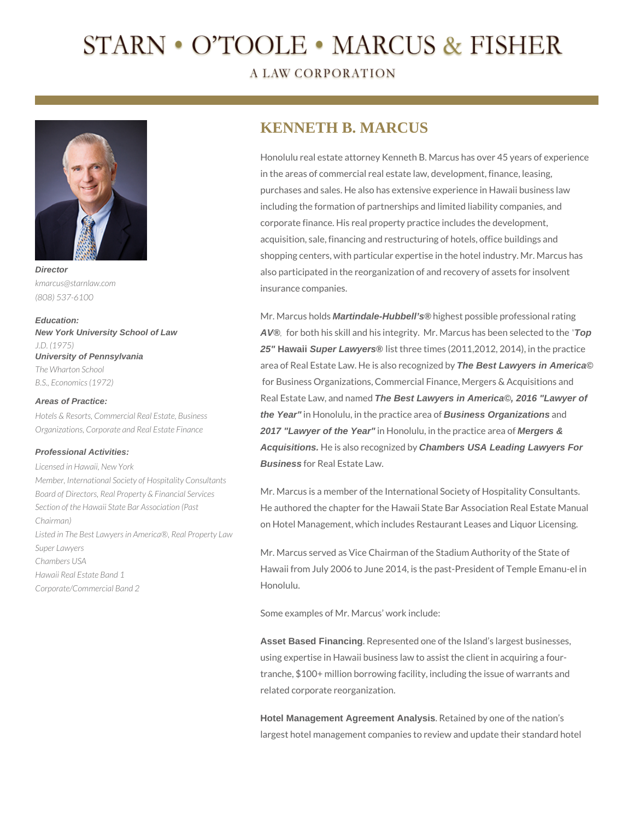# STARN • O'TOOLE • MARCUS & FISHER

**A LAW CORPORATION** 



*kmarcus@starnlaw.com (808) 537-6100*

**Education: New York University School of Law** *J.D. (1975)* **University of Pennsylvania** *The Wharton School B.S., Economics (1972)*

### **Areas of Practice:**

*Hotels & Resorts, Commercial Real Estate, Business Organizations, Corporate and Real Estate Finance*

## **Professional Activities:**

*Licensed in Hawaii, New York Member, International Society of Hospitality Consultants Board of Directors, Real Property & Financial Services Section of the Hawaii State Bar Association (Past Chairman) Listed in The Best Lawyers in America®, Real Property Law Super Lawyers Chambers USA Hawaii Real Estate Band 1 Corporate/Commercial Band 2*

# **KENNETH B. MARCUS**

Honolulu real estate attorney Kenneth B. Marcus has over 45 years of experience in the areas of commercial real estate law, development, finance, leasing, purchases and sales. He also has extensive experience in Hawaii business law including the formation of partnerships and limited liability companies, and corporate finance. His real property practice includes the development, acquisition, sale, financing and restructuring of hotels, office buildings and shopping centers, with particular expertise in the hotel industry. Mr. Marcus has also participated in the reorganization of and recovery of assets for insolvent insurance companies.

Mr. Marcus holds **Martindale-Hubbell's®** highest possible professional rating **AV®***,* for both his skill and his integrity. Mr. Marcus has been selected to the *"***Top 25" Hawaii Super Lawyers®** list three times (2011,2012, 2014), in the practice area of Real Estate Law. He is also recognized by **The Best Lawyers in America©** for Business Organizations, Commercial Finance, Mergers & Acquisitions and Real Estate Law, and named **The Best Lawyers in America©, 2016 "Lawyer of the Year"** in Honolulu, in the practice area of **Business Organizations** and **2017 "Lawyer of the Year"** in Honolulu, in the practice area of **Mergers & Acquisitions.** He is also recognized by **Chambers USA Leading Lawyers For Business** for Real Estate Law.

Mr. Marcus is a member of the International Society of Hospitality Consultants. He authored the chapter for the Hawaii State Bar Association Real Estate Manual on Hotel Management, which includes Restaurant Leases and Liquor Licensing.

Mr. Marcus served as Vice Chairman of the Stadium Authority of the State of Hawaii from July 2006 to June 2014, is the past-President of Temple Emanu-el in Honolulu.

Some examples of Mr. Marcus' work include:

**Asset Based Financing**. Represented one of the Island's largest businesses, using expertise in Hawaii business law to assist the client in acquiring a fourtranche, \$100+ million borrowing facility, including the issue of warrants and related corporate reorganization.

**Hotel Management Agreement Analysis**. Retained by one of the nation's largest hotel management companies to review and update their standard hotel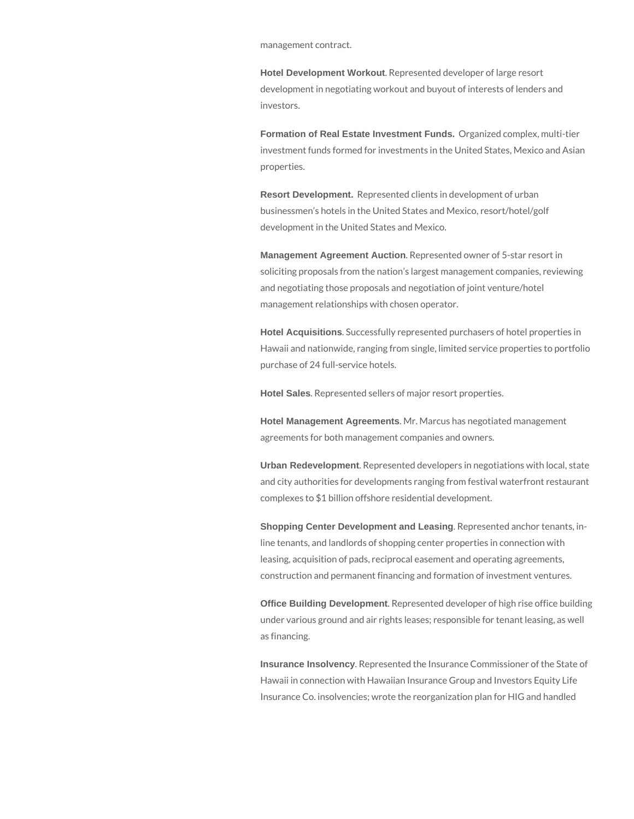management contract.

**Hotel Development Workout**. Represented developer of large resort development in negotiating workout and buyout of interests of lenders and investors.

**Formation of Real Estate Investment Funds.** Organized complex, multi-tier investment funds formed for investments in the United States, Mexico and Asian properties.

**Resort Development.** Represented clients in development of urban businessmen's hotels in the United States and Mexico, resort/hotel/golf development in the United States and Mexico.

**Management Agreement Auction**. Represented owner of 5-star resort in soliciting proposals from the nation's largest management companies, reviewing and negotiating those proposals and negotiation of joint venture/hotel management relationships with chosen operator.

**Hotel Acquisitions**. Successfully represented purchasers of hotel properties in Hawaii and nationwide, ranging from single, limited service properties to portfolio purchase of 24 full-service hotels.

**Hotel Sales**. Represented sellers of major resort properties.

**Hotel Management Agreements**. Mr. Marcus has negotiated management agreements for both management companies and owners.

**Urban Redevelopment**. Represented developers in negotiations with local, state and city authorities for developments ranging from festival waterfront restaurant complexes to \$1 billion offshore residential development.

**Shopping Center Development and Leasing**. Represented anchor tenants, inline tenants, and landlords of shopping center properties in connection with leasing, acquisition of pads, reciprocal easement and operating agreements, construction and permanent financing and formation of investment ventures.

**Office Building Development**. Represented developer of high rise office building under various ground and air rights leases; responsible for tenant leasing, as well as financing.

**Insurance Insolvency**. Represented the Insurance Commissioner of the State of Hawaii in connection with Hawaiian Insurance Group and Investors Equity Life Insurance Co. insolvencies; wrote the reorganization plan for HIG and handled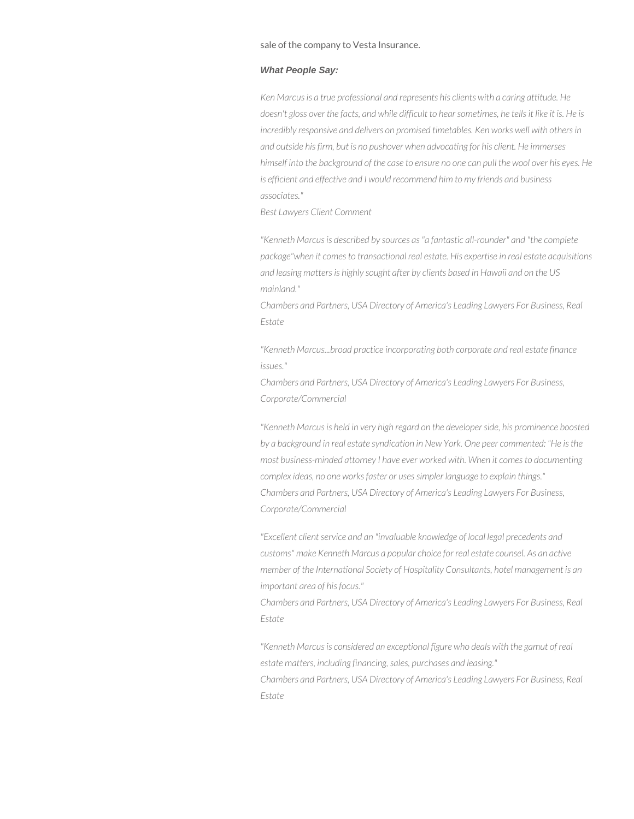sale of the company to Vesta Insurance.

### **What People Say:**

*Ken Marcus is a true professional and represents his clients with a caring attitude. He doesn't gloss over the facts, and while difficult to hear sometimes, he tells it like it is. He is incredibly responsive and delivers on promised timetables. Ken works well with others in and outside his firm, but is no pushover when advocating for his client. He immerses himself into the background of the case to ensure no one can pull the wool over his eyes. He is efficient and effective and I would recommend him to my friends and business associates."*

*Best Lawyers Client Comment*

*"Kenneth Marcus is described by sources as "a fantastic all-rounder" and "the complete package"when it comes to transactional real estate. His expertise in real estate acquisitions and leasing matters is highly sought after by clients based in Hawaii and on the US mainland."*

*Chambers and Partners, USA Directory of America's Leading Lawyers For Business, Real Estate*

*"Kenneth Marcus...broad practice incorporating both corporate and real estate finance issues."*

*Chambers and Partners, USA Directory of America's Leading Lawyers For Business, Corporate/Commercial*

*"Kenneth Marcus is held in very high regard on the developer side, his prominence boosted by a background in real estate syndication in New York. One peer commented: "He is the most business-minded attorney I have ever worked with. When it comes to documenting complex ideas, no one works faster or uses simpler language to explain things." Chambers and Partners, USA Directory of America's Leading Lawyers For Business, Corporate/Commercial*

*"Excellent client service and an "invaluable knowledge of local legal precedents and customs" make Kenneth Marcus a popular choice for real estate counsel. As an active member of the International Society of Hospitality Consultants, hotel management is an important area of his focus."*

*Chambers and Partners, USA Directory of America's Leading Lawyers For Business, Real Estate*

*"Kenneth Marcus is considered an exceptional figure who deals with the gamut of real estate matters, including financing, sales, purchases and leasing." Chambers and Partners, USA Directory of America's Leading Lawyers For Business, Real Estate*